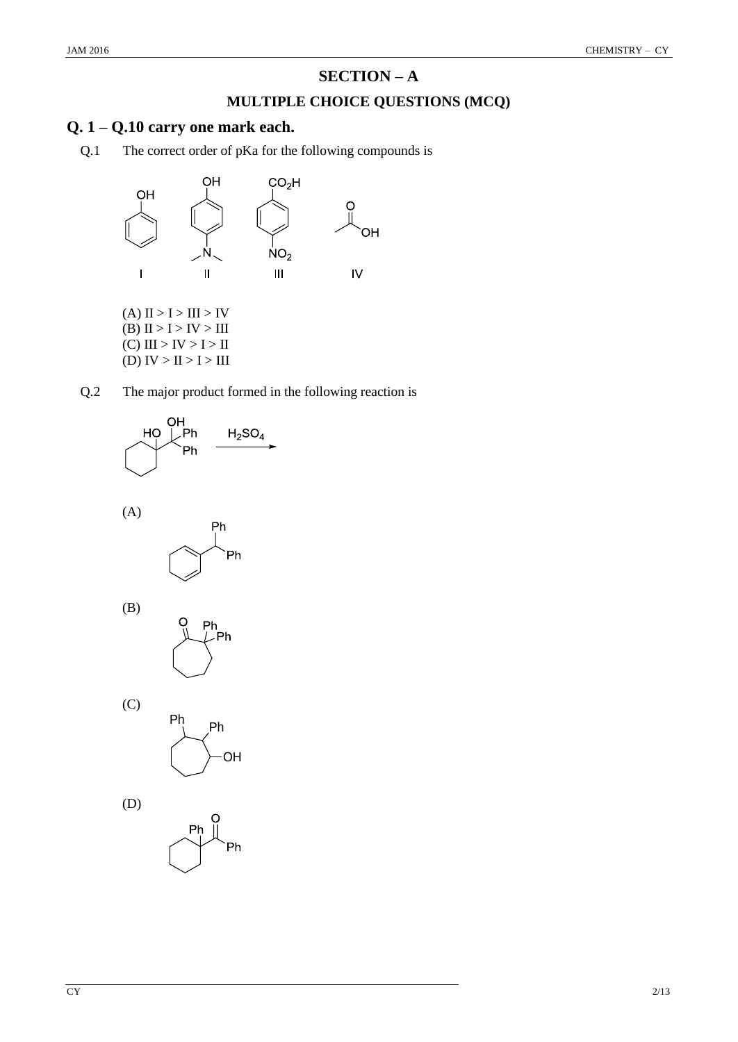# **SECTION – A**

## **MULTIPLE CHOICE QUESTIONS (MCQ)**

## **Q. 1 – Q.10 carry one mark each.**

Q.1 The correct order of pKa for the following compounds is



(B)  $II > I > IV > III$  $(C)$  III > IV > I > II (D)  $IV > II > I > III$ 











(C)



Ph .<br>Ph

(D)

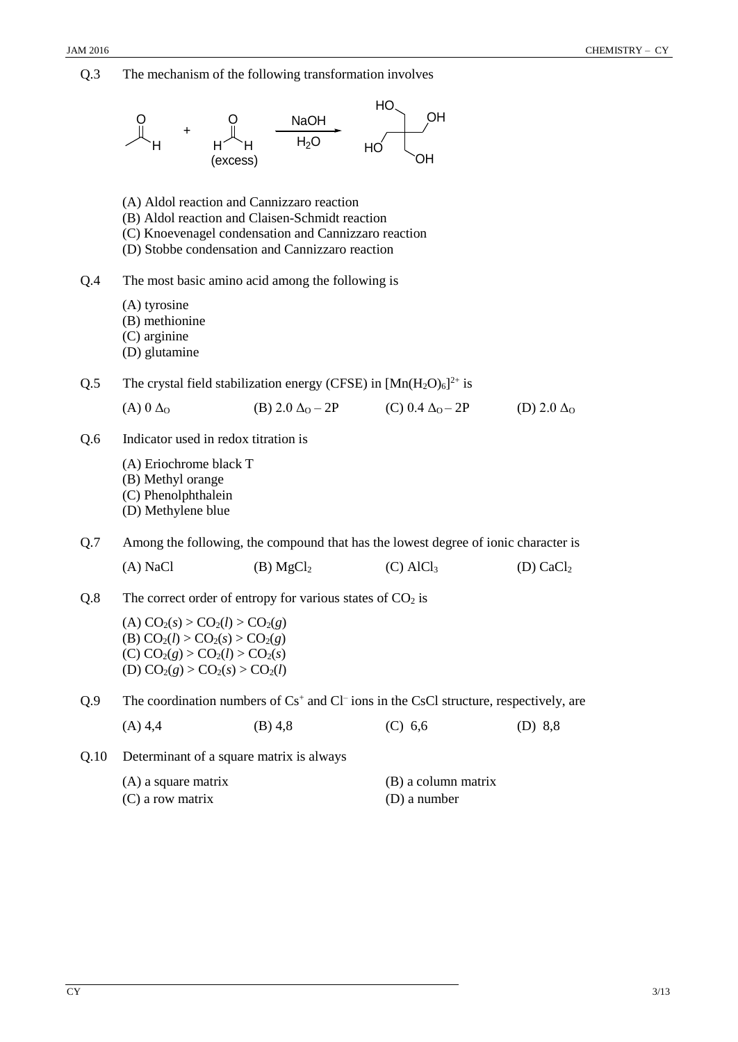Q.3 The mechanism of the following transformation involves H O + H´H **NaOH**  $H<sub>2</sub>O$  $H\Omega$ OH OH  $H$ O (excess) (A) Aldol reaction and Cannizzaro reaction (B) Aldol reaction and Claisen-Schmidt reaction (C) Knoevenagel condensation and Cannizzaro reaction (D) Stobbe condensation and Cannizzaro reaction Q.4 The most basic amino acid among the following is (A) tyrosine (B) methionine (C) arginine (D) glutamine Q.5 The crystal field stabilization energy (CFSE) in  $[Mn(H_2O)_6]^{2+}$  is (A)  $0 \Delta_0$  (B)  $2.0 \Delta_0 - 2P$  (C)  $0.4 \Delta_0 - 2P$  (D)  $2.0 \Delta_0$ Q.6 Indicator used in redox titration is (A) Eriochrome black T (B) Methyl orange (C) Phenolphthalein (D) Methylene blue Q.7 Among the following, the compound that has the lowest degree of ionic character is (A) NaCl (B)  $MgCl<sub>2</sub>$  (C) AlCl<sub>3</sub> (D) CaCl<sub>2</sub> Q.8 The correct order of entropy for various states of  $CO<sub>2</sub>$  is  $(A) CO<sub>2</sub>(s) > CO<sub>2</sub>(l) > CO<sub>2</sub>(g)$ (B)  $CO_2(l) > CO_2(s) > CO_2(g)$  $(C) CO<sub>2</sub>(g) > CO<sub>2</sub>(l) > CO<sub>2</sub>(s)$  $(D) CO<sub>2</sub>(g) > CO<sub>2</sub>(s) > CO<sub>2</sub>(l)$ Q.9 The coordination numbers of  $Cs<sup>+</sup>$  and  $Cl<sup>-</sup>$  ions in the CsCl structure, respectively, are (A) 4,4 (B) 4,8 (C) 6,6 (D) 8,8 Q.10 Determinant of a square matrix is always (A) a square matrix (B) a column matrix (C) a row matrix (D) a number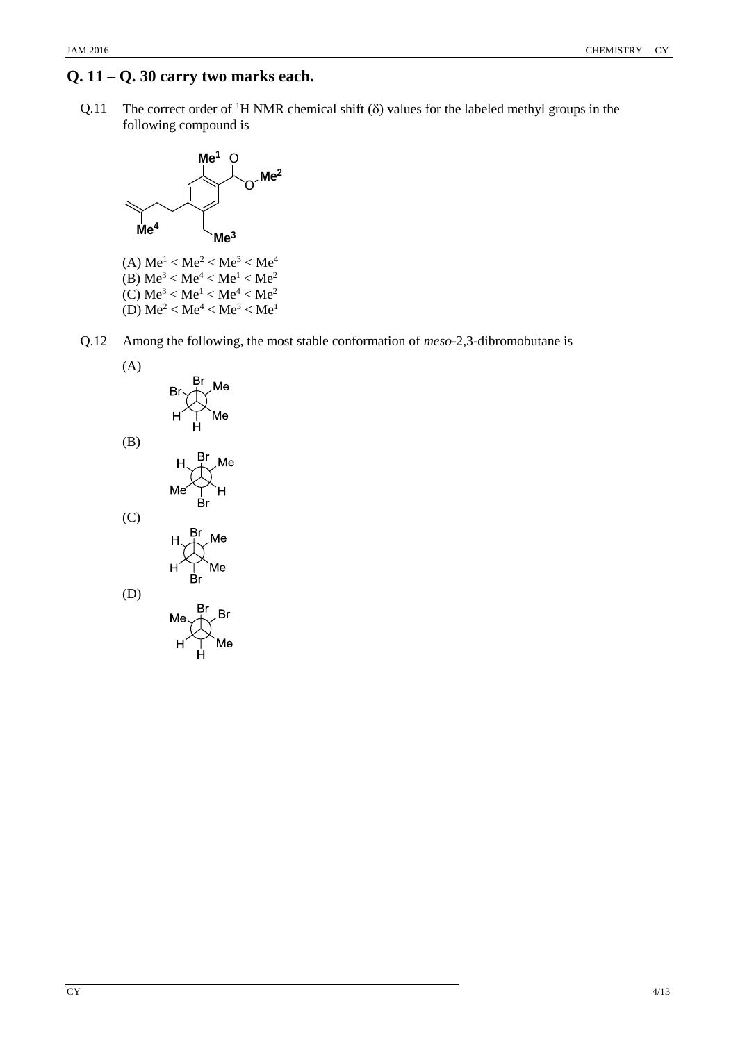## **Q. 11 – Q. 30 carry two marks each.**

Q.11 The correct order of <sup>1</sup>H NMR chemical shift  $(\delta)$  values for the labeled methyl groups in the following compound is



(A)  $Me<sup>1</sup> < Me<sup>2</sup> < Me<sup>3</sup> < Me<sup>4</sup>$ (B)  $\text{Me}^3 < \text{Me}^4 < \text{Me}^1 < \text{Me}^2$ (C)  $Me^{3} < Me^{1} < Me^{4} < Me^{2}$ (D)  $Me^{2} < Me^{4} < Me^{3} < Me^{1}$ 

Q.12 Among the following, the most stable conformation of *meso*-2,3-dibromobutane is

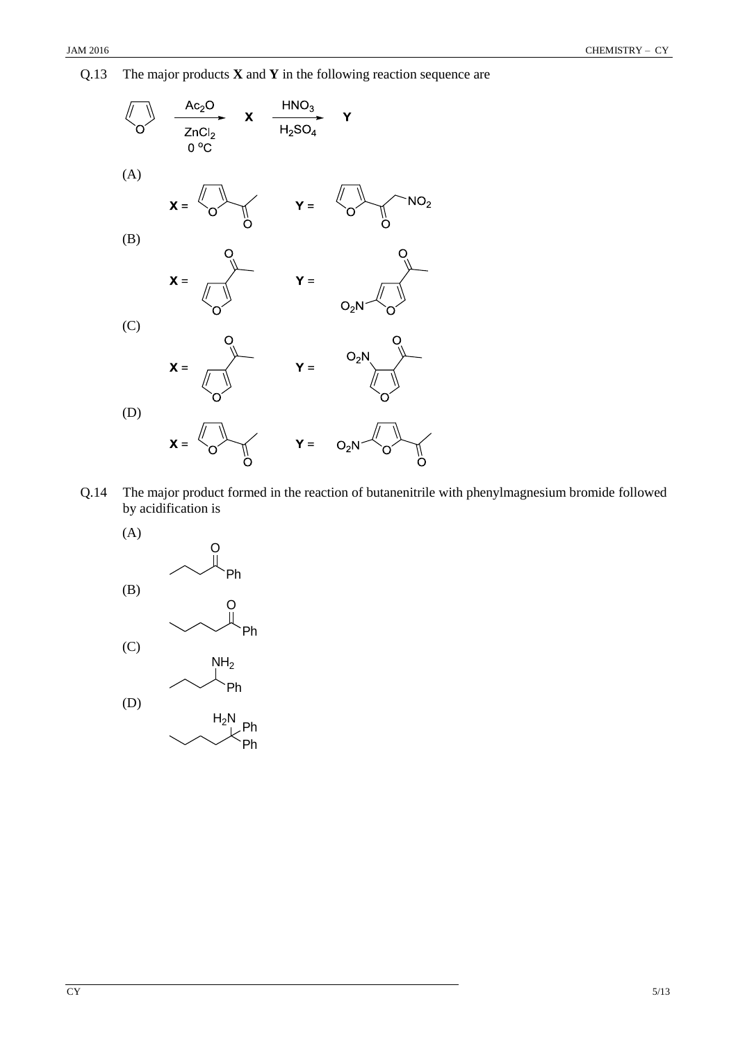Q.13 The major products **X** and **Y** in the following reaction sequence are



Q.14 The major product formed in the reaction of butanenitrile with phenylmagnesium bromide followed by acidification is

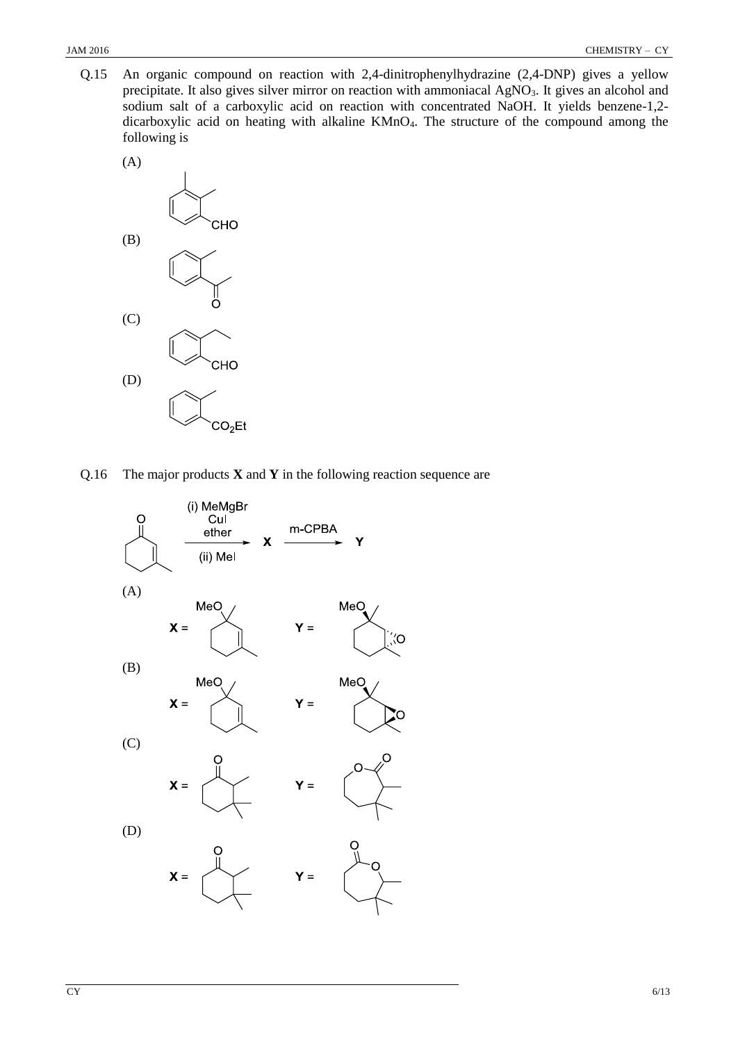Q.15 An organic compound on reaction with 2,4-dinitrophenylhydrazine (2,4-DNP) gives a yellow precipitate. It also gives silver mirror on reaction with ammoniacal AgNO<sub>3</sub>. It gives an alcohol and sodium salt of a carboxylic acid on reaction with concentrated NaOH. It yields benzene-1,2 dicarboxylic acid on heating with alkaline KMnO4. The structure of the compound among the following is



Q.16 The major products **X** and **Y** in the following reaction sequence are

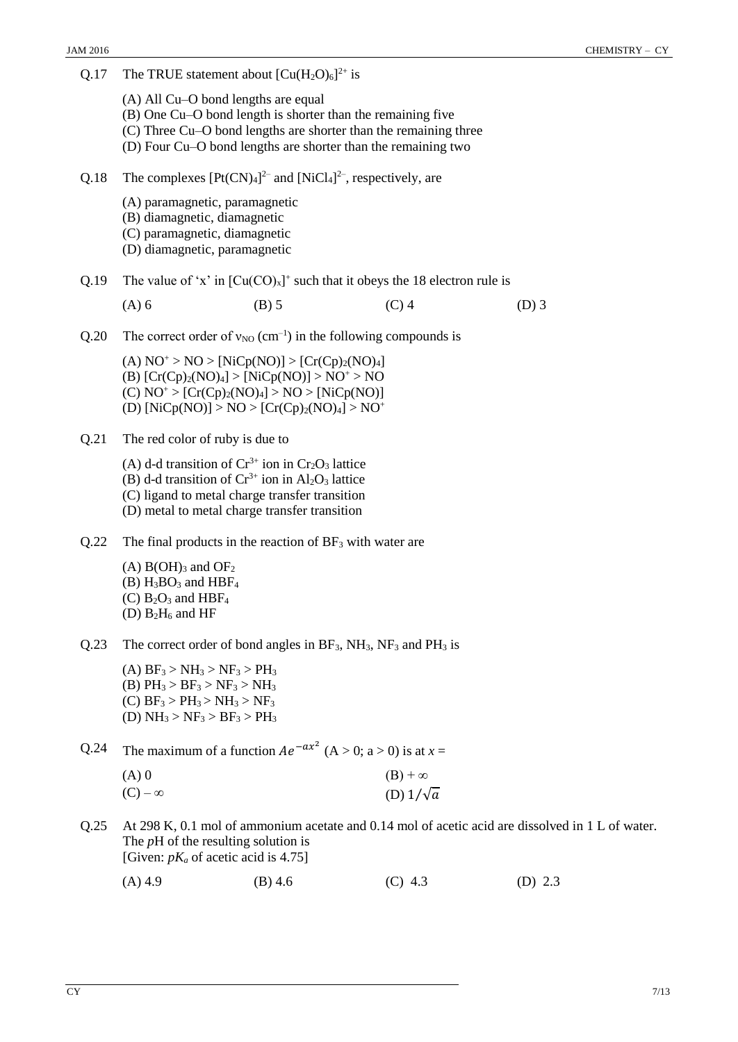| Q.17 | The TRUE statement about $[Cu(H2O)6]2+$ is                                                                                                                                                                                                   |         |                  |                                                                                                  |
|------|----------------------------------------------------------------------------------------------------------------------------------------------------------------------------------------------------------------------------------------------|---------|------------------|--------------------------------------------------------------------------------------------------|
|      | (A) All Cu–O bond lengths are equal<br>(B) One Cu–O bond length is shorter than the remaining five<br>(C) Three Cu–O bond lengths are shorter than the remaining three<br>(D) Four Cu–O bond lengths are shorter than the remaining two      |         |                  |                                                                                                  |
| Q.18 | The complexes $[Pt(CN)_4]^{2-}$ and $[NiCl_4]^{2-}$ , respectively, are                                                                                                                                                                      |         |                  |                                                                                                  |
|      | (A) paramagnetic, paramagnetic<br>(B) diamagnetic, diamagnetic<br>(C) paramagnetic, diamagnetic<br>(D) diamagnetic, paramagnetic                                                                                                             |         |                  |                                                                                                  |
| Q.19 | The value of 'x' in $[Cu(CO)_x]^+$ such that it obeys the 18 electron rule is                                                                                                                                                                |         |                  |                                                                                                  |
|      | $(A)$ 6                                                                                                                                                                                                                                      | $(B)$ 5 | $(C)$ 4          | $(D)$ 3                                                                                          |
| Q.20 | The correct order of $v_{NO}$ (cm <sup>-1</sup> ) in the following compounds is                                                                                                                                                              |         |                  |                                                                                                  |
|      | (A) $NO^+ > NO > [NiCp(NO)] > [Cr(Cp)2(NO)4]$<br>(B) $[Cr(Cp)_{2}(NO)4] > [NiCp(NO)] > NO^{+} > NO$<br>(C) $NO^+ > [Cr(Cp)_2(NO)_4] > NO > [NiCp(NO)]$<br>(D) [NiCp(NO)] > NO > [Cr(Cp) <sub>2</sub> (NO) <sub>4</sub> ] > NO <sup>+</sup>   |         |                  |                                                                                                  |
| Q.21 | The red color of ruby is due to                                                                                                                                                                                                              |         |                  |                                                                                                  |
|      | (A) d-d transition of $Cr^{3+}$ ion in $Cr_2O_3$ lattice<br>(B) d-d transition of $Cr^{3+}$ ion in Al <sub>2</sub> O <sub>3</sub> lattice<br>(C) ligand to metal charge transfer transition<br>(D) metal to metal charge transfer transition |         |                  |                                                                                                  |
| Q.22 | The final products in the reaction of $BF_3$ with water are                                                                                                                                                                                  |         |                  |                                                                                                  |
|      | $(A)$ B(OH) <sub>3</sub> and OF <sub>2</sub><br>$(B)$ H <sub>3</sub> BO <sub>3</sub> and HBF <sub>4</sub><br>(C) $B_2O_3$ and HBF <sub>4</sub><br>(D) $B_2H_6$ and HF                                                                        |         |                  |                                                                                                  |
| Q.23 | The correct order of bond angles in $BF_3$ , $NH_3$ , $NF_3$ and $PH_3$ is                                                                                                                                                                   |         |                  |                                                                                                  |
|      | (A) $BF_3 > NH_3 > NF_3 > PH_3$<br>(B) $PH_3 > BF_3 > NF_3 > NH_3$<br>(C) $BF_3 > PH_3 > NH_3 > NF_3$<br>(D) $NH_3 > NF_3 > BF_3 > PH_3$                                                                                                     |         |                  |                                                                                                  |
| Q.24 | The maximum of a function $Ae^{-ax^2}$ (A > 0; a > 0) is at x =                                                                                                                                                                              |         |                  |                                                                                                  |
|      | $(A)$ 0                                                                                                                                                                                                                                      |         | $(B) + \infty$   |                                                                                                  |
|      | $(C) - \infty$                                                                                                                                                                                                                               |         | (D) $1/\sqrt{a}$ |                                                                                                  |
| Q.25 | The $pH$ of the resulting solution is<br>[Given: $pK_a$ of acetic acid is 4.75]                                                                                                                                                              |         |                  | At 298 K, 0.1 mol of ammonium acetate and 0.14 mol of acetic acid are dissolved in 1 L of water. |

(A) 4.9 (B) 4.6 (C) 4.3 (D) 2.3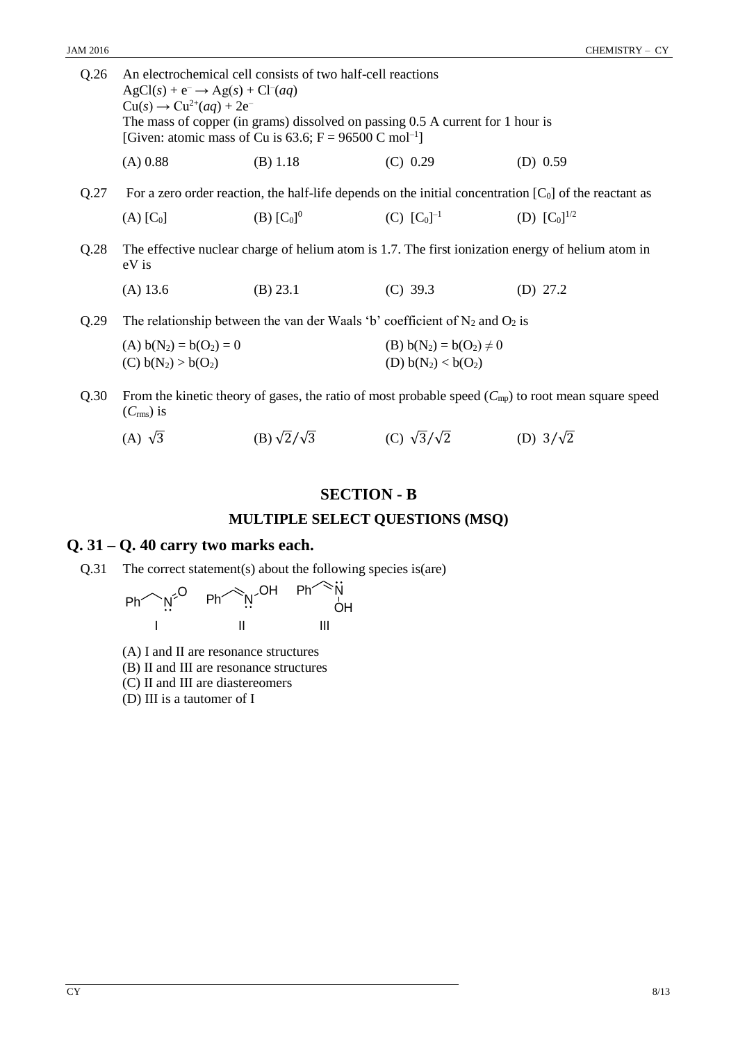| Q.26 | An electrochemical cell consists of two half-cell reactions<br>$AgCl(s) + e^- \rightarrow Ag(s) + Cl^{-}(aq)$<br>$Cu(s) \rightarrow Cu^{2+}(aq) + 2e^{-}$<br>The mass of copper (in grams) dissolved on passing $0.5$ A current for 1 hour is<br>[Given: atomic mass of Cu is 63.6; F = 96500 C mol <sup>-1</sup> ] |                          |                                                                                  |                                                                                                          |  |  |  |  |  |
|------|---------------------------------------------------------------------------------------------------------------------------------------------------------------------------------------------------------------------------------------------------------------------------------------------------------------------|--------------------------|----------------------------------------------------------------------------------|----------------------------------------------------------------------------------------------------------|--|--|--|--|--|
|      | $(A)$ 0.88                                                                                                                                                                                                                                                                                                          | (B) 1.18                 | (C) 0.29                                                                         | $(D)$ 0.59                                                                                               |  |  |  |  |  |
| Q.27 |                                                                                                                                                                                                                                                                                                                     |                          |                                                                                  | For a zero order reaction, the half-life depends on the initial concentration $[C_0]$ of the reactant as |  |  |  |  |  |
|      | $(A)$ $[C_0]$                                                                                                                                                                                                                                                                                                       | (B) $[C_0]$ <sup>0</sup> | (C) $[C_0]^{-1}$                                                                 | (D) $[C_0]^{1/2}$                                                                                        |  |  |  |  |  |
| Q.28 | The effective nuclear charge of helium atom is 1.7. The first ionization energy of helium atom in<br>eV is                                                                                                                                                                                                          |                          |                                                                                  |                                                                                                          |  |  |  |  |  |
|      | $(A)$ 13.6                                                                                                                                                                                                                                                                                                          | $(B)$ 23.1               | $(C)$ 39.3                                                                       | (D) $27.2$                                                                                               |  |  |  |  |  |
| Q.29 |                                                                                                                                                                                                                                                                                                                     |                          | The relationship between the van der Waals 'b' coefficient of $N_2$ and $O_2$ is |                                                                                                          |  |  |  |  |  |
|      | (A) $b(N_2) = b(O_2) = 0$                                                                                                                                                                                                                                                                                           |                          | (B) $b(N_2) = b(O_2) \neq 0$                                                     |                                                                                                          |  |  |  |  |  |
|      | (C) $b(N_2) > b(O_2)$                                                                                                                                                                                                                                                                                               |                          | (D) $b(N_2) < b(O_2)$                                                            |                                                                                                          |  |  |  |  |  |
| Q.30 |                                                                                                                                                                                                                                                                                                                     |                          |                                                                                  | From the kinetic theory of gases, the ratio of most probable speed $(C_{mp})$ to root mean square speed  |  |  |  |  |  |

(*C*rms) is

| (A) $\sqrt{3}$ | (B) $\sqrt{2}/\sqrt{3}$ | (C) $\sqrt{3}/\sqrt{2}$ | (D) $3/\sqrt{2}$ |
|----------------|-------------------------|-------------------------|------------------|
|                |                         |                         |                  |

### **SECTION - B**

#### **MULTIPLE SELECT QUESTIONS (MSQ)**

## **Q. 31 – Q. 40 carry two marks each.**

Q.31 The correct statement(s) about the following species is(are)



- (A) I and II are resonance structures
- (B) II and III are resonance structures

(C) II and III are diastereomers

(D) III is a tautomer of I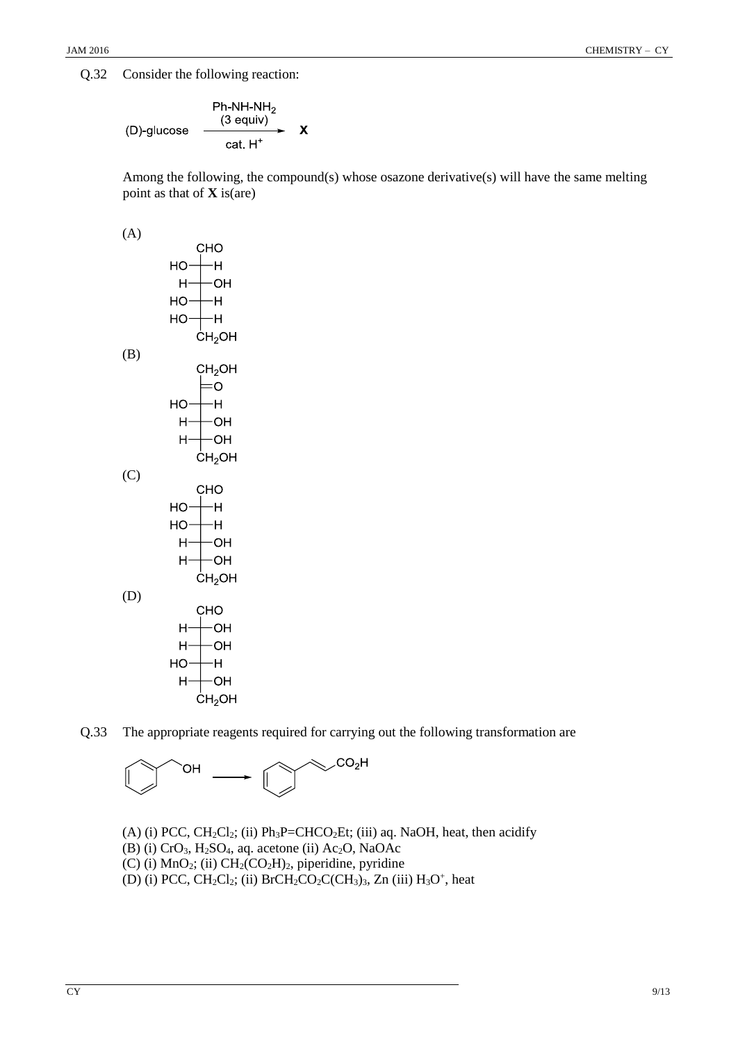Q.32 Consider the following reaction:

$$
\begin{array}{ccc}\n\text{Ph-NH-NH}_2 \\
\text{(D)-glucose} & \xrightarrow{\text{ (3 equity)} } & \text{X} \\
\text{cat. H}^+ & & \n\end{array}
$$

Among the following, the compound(s) whose osazone derivative(s) will have the same melting point as that of **X** is(are)

(A)



Q.33 The appropriate reagents required for carrying out the following transformation are

$$
\text{CH} \longrightarrow \text{Cov}_{\text{CH}}
$$

(A) (i) PCC,  $CH_2Cl_2$ ; (ii) Ph<sub>3</sub>P=CHCO<sub>2</sub>Et; (iii) aq. NaOH, heat, then acidify (B) (i) CrO3, H2SO4, aq. acetone (ii) Ac2O, NaOAc (C) (i)  $MnO<sub>2</sub>$ ; (ii)  $CH<sub>2</sub>(CO<sub>2</sub>H)<sub>2</sub>$ , piperidine, pyridine (D) (i) PCC,  $CH_2Cl_2$ ; (ii) BrCH<sub>2</sub>CO<sub>2</sub>C(CH<sub>3</sub>)<sub>3</sub>, Zn (iii) H<sub>3</sub>O<sup>+</sup>, heat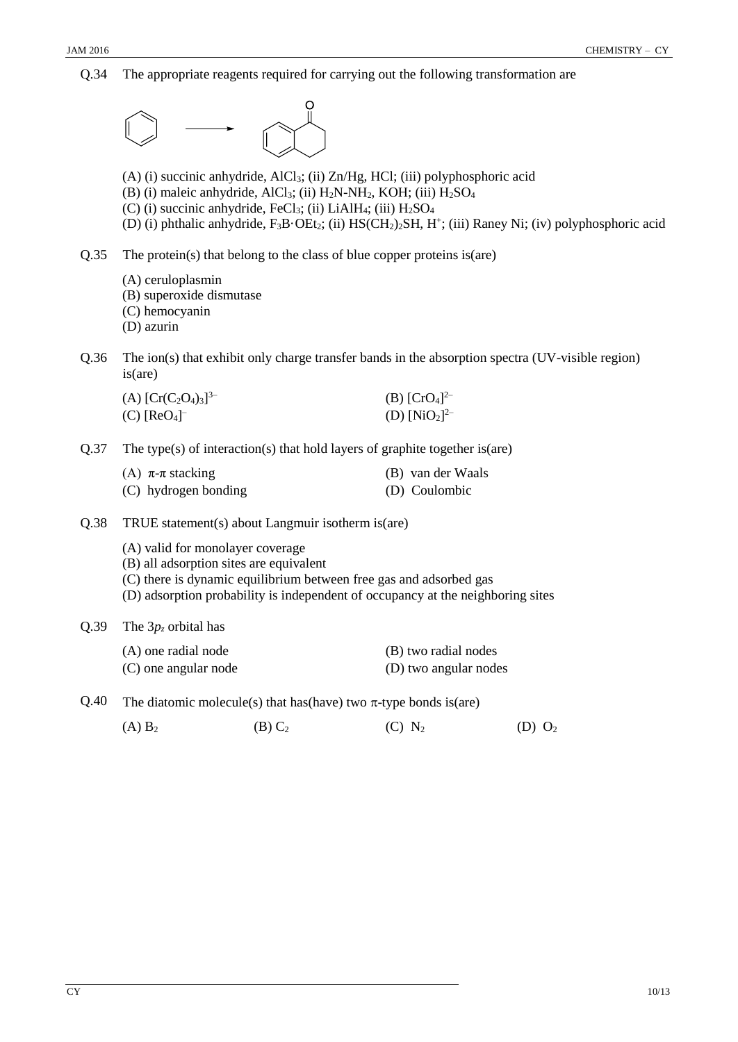Q.34 The appropriate reagents required for carrying out the following transformation are



(A)  $B_2$  (B)  $C_2$  (C)  $N_2$  (D)  $O_2$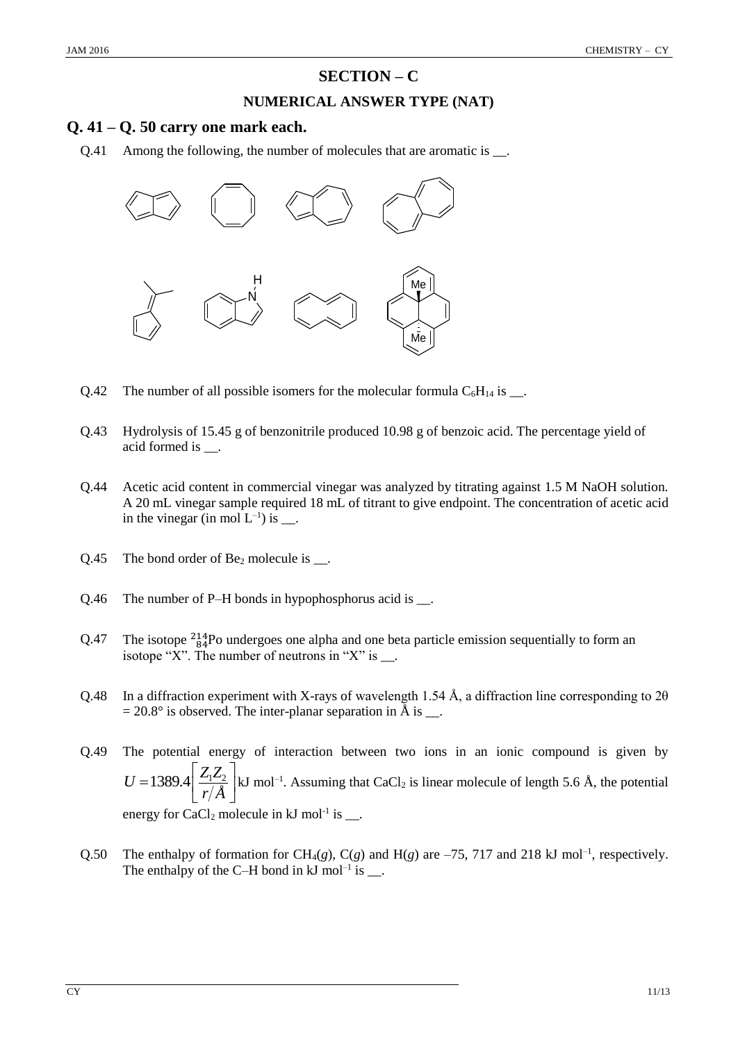## **SECTION – C**

#### **NUMERICAL ANSWER TYPE (NAT)**

#### **Q. 41 – Q. 50 carry one mark each.**

Q.41 Among the following, the number of molecules that are aromatic is  $\Box$ .



- Q.42 The number of all possible isomers for the molecular formula  $C_6H_{14}$  is \_\_.
- Q.43 Hydrolysis of 15.45 g of benzonitrile produced 10.98 g of benzoic acid. The percentage yield of acid formed is  $\qquad$ .
- Q.44 Acetic acid content in commercial vinegar was analyzed by titrating against 1.5 M NaOH solution. A 20 mL vinegar sample required 18 mL of titrant to give endpoint. The concentration of acetic acid in the vinegar (in mol  $L^{-1}$ ) is  $\_\_$ .
- $Q.45$  The bond order of Be<sub>2</sub> molecule is  $\_\_$ .
- Q.46 The number of P–H bonds in hypophosphorus acid is  $\_\_$ .
- Q.47 The isotope  $\frac{214}{84}$ Po undergoes one alpha and one beta particle emission sequentially to form an isotope "X". The number of neutrons in "X" is  $\_\_$ .
- Q.48 In a diffraction experiment with X-rays of wavelength 1.54 Å, a diffraction line corresponding to 2θ  $= 20.8^{\circ}$  is observed. The inter-planar separation in Å is \_\_.
- Q.49 The potential energy of interaction between two ions in an ionic compound is given by  $1389.4 \frac{Z_1 Z_2}{Z_1 Z_3}$ *Å U r*  $\left[\frac{Z_1 Z_2}{\sqrt{2}}\right]$ kJ mol<sup>-1</sup>. Assuming that CaCl<sub>2</sub> is linear molecule of length 5.6 Å, the potential  $=$ 1389.4  $\frac{Z_1Z_2}{r/\AA}$  kJ energy for CaCl<sub>2</sub> molecule in  $kJ$  mol<sup>-1</sup> is  $\_\_$ .
- Q.50 The enthalpy of formation for CH<sub>4</sub>(g), C(g) and H(g) are  $-75$ , 717 and 218 kJ mol<sup>-1</sup>, respectively. The enthalpy of the C–H bond in  $kJ$  mol<sup>-1</sup> is  $\_\_$ .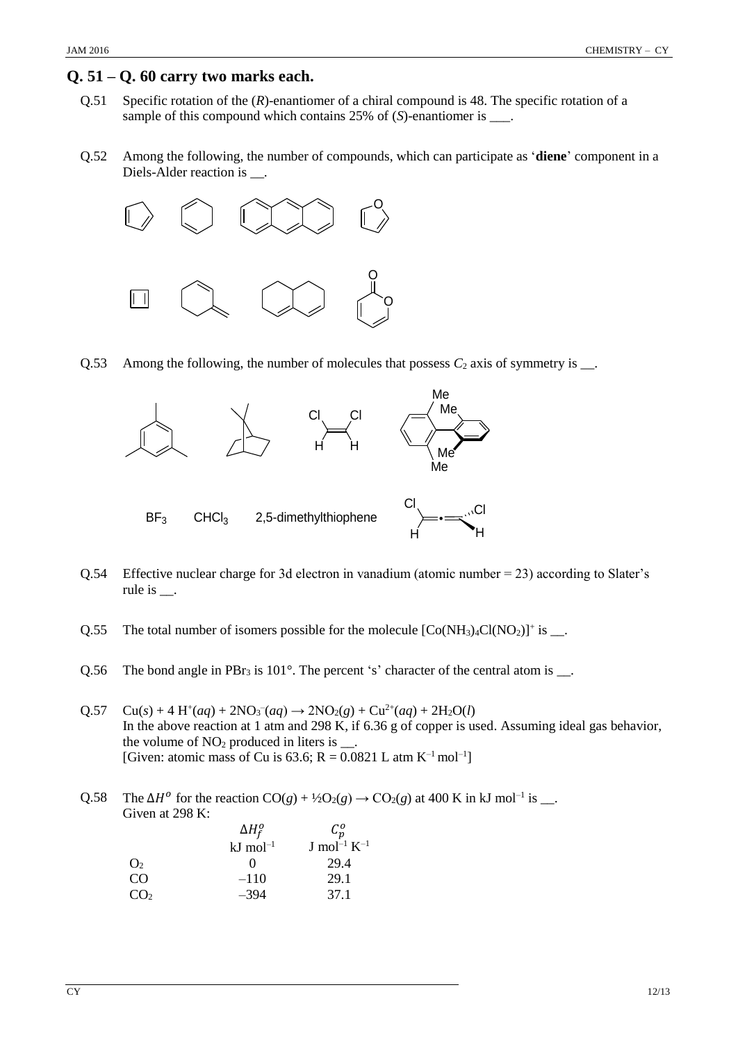#### **Q. 51 – Q. 60 carry two marks each.**

- Q.51 Specific rotation of the (*R*)-enantiomer of a chiral compound is 48. The specific rotation of a sample of this compound which contains 25% of (*S*)-enantiomer is \_\_\_.
- Q.52 Among the following, the number of compounds, which can participate as '**diene**' component in a Diels-Alder reaction is \_\_\_.



Q.53 Among the following, the number of molecules that possess  $C_2$  axis of symmetry is  $\Box$ .



- Q.54 Effective nuclear charge for 3d electron in vanadium (atomic number = 23) according to Slater's rule is  $\_\_$ .
- Q.55 The total number of isomers possible for the molecule  $[Co(NH<sub>3</sub>)<sub>4</sub>Cl(NO<sub>2</sub>)]<sup>+</sup>$  is \_\_.
- Q.56 The bond angle in PBr<sub>3</sub> is  $101^\circ$ . The percent 's' character of the central atom is  $\Box$ .
- $Q.57 \quad Cu(s) + 4 H^+(aq) + 2NO_3^-(aq) \rightarrow 2NO_2(g) + Cu^{2+}(aq) + 2H_2O(l)$ In the above reaction at 1 atm and 298 K, if 6.36 g of copper is used. Assuming ideal gas behavior, the volume of  $NO<sub>2</sub>$  produced in liters is  $\ldots$ . [Given: atomic mass of Cu is 63.6; R = 0.0821 L atm K<sup>-1</sup> mol<sup>-1</sup>]

Q.58 The  $\Delta H^o$  for the reaction  $CO(g) + \frac{1}{2}O_2(g) \rightarrow CO_2(g)$  at 400 K in kJ mol<sup>-1</sup> is \_\_. Given at 298 K:

|                        | $\Delta H_f^o$        | $\mathcal{C}_n^o$            |
|------------------------|-----------------------|------------------------------|
|                        | $kJ \text{ mol}^{-1}$ | J mol <sup>-1</sup> $K^{-1}$ |
| $\mathrm{O}_2$         |                       | 29.4                         |
| $\overline{\text{CO}}$ | $-110$                | 29.1                         |
| CO <sub>2</sub>        | $-394$                | 37.1                         |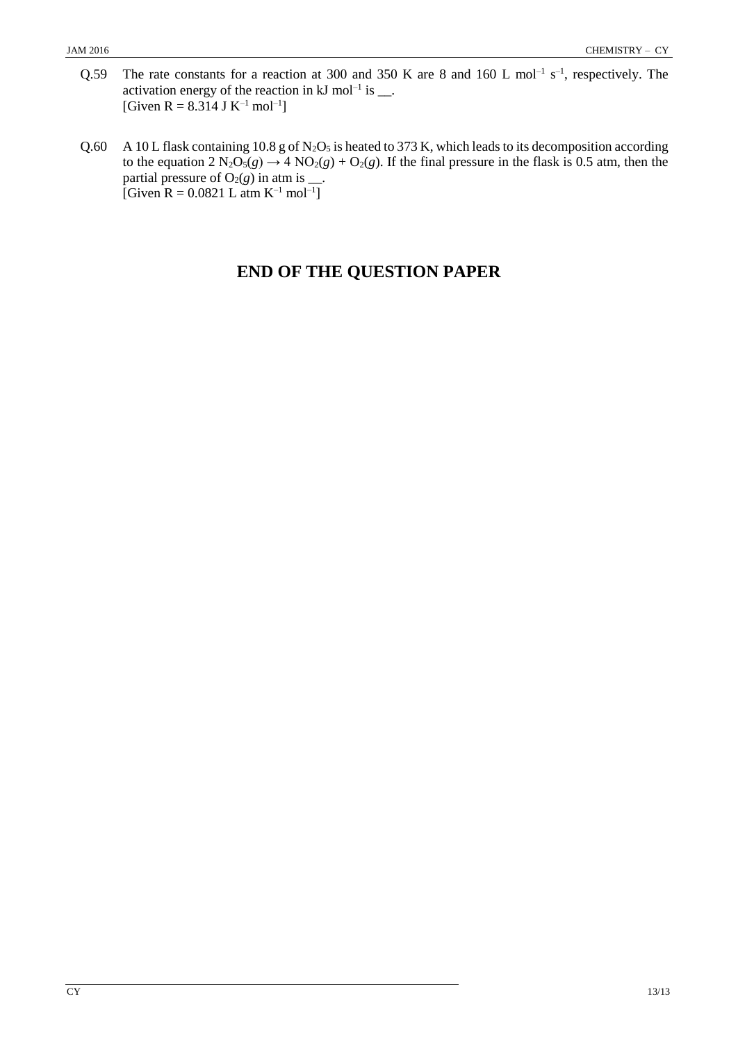- Q.59 The rate constants for a reaction at 300 and 350 K are 8 and 160 L mol<sup>-1</sup> s<sup>-1</sup>, respectively. The activation energy of the reaction in  $kJ$  mol<sup>-1</sup> is  $\_\_$ . [Given R = 8.314 J K<sup>-1</sup> mol<sup>-1</sup>]
- Q.60 A 10 L flask containing 10.8 g of N<sub>2</sub>O<sub>5</sub> is heated to 373 K, which leads to its decomposition according to the equation  $2 N_2O_5(g) \rightarrow 4 NO_2(g) + O_2(g)$ . If the final pressure in the flask is 0.5 atm, then the partial pressure of  $O_2(g)$  in atm is  $\_\_$ . [Given R =  $0.0821$  L atm K<sup>-1</sup> mol<sup>-1</sup>]

# **END OF THE QUESTION PAPER**